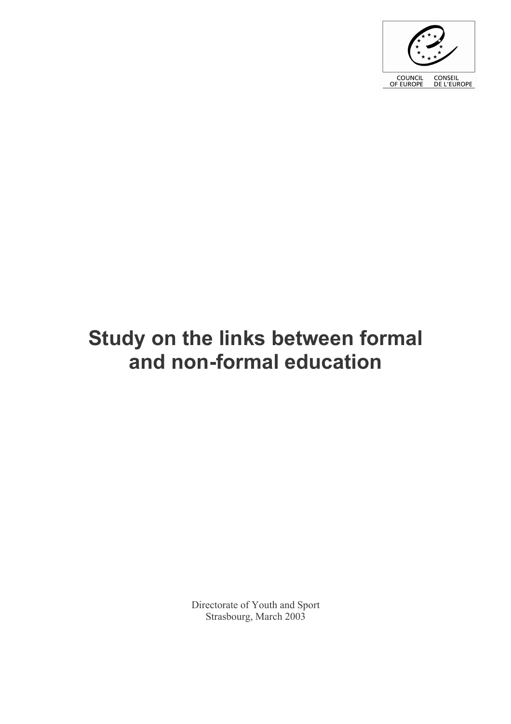

# Study on the links between formal and non-formal education

Directorate of Youth and Sport Strasbourg, March 2003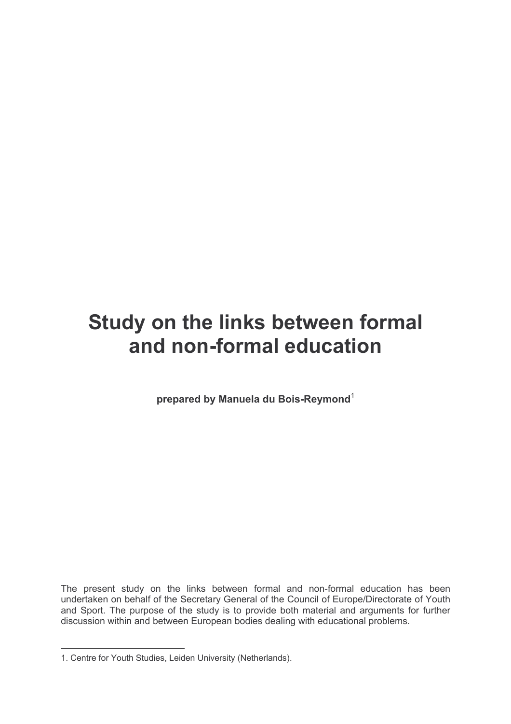# Study on the links between formal and non-formal education

prepared by Manuela du Bois-Reymond<sup>1</sup>

The present study on the links between formal and non-formal education has been undertaken on behalf of the Secretary General of the Council of Europe/Directorate of Youth and Sport. The purpose of the study is to provide both material and arguments for further discussion within and between European bodies dealing with educational problems.

<sup>1.</sup> Centre for Youth Studies, Leiden University (Netherlands).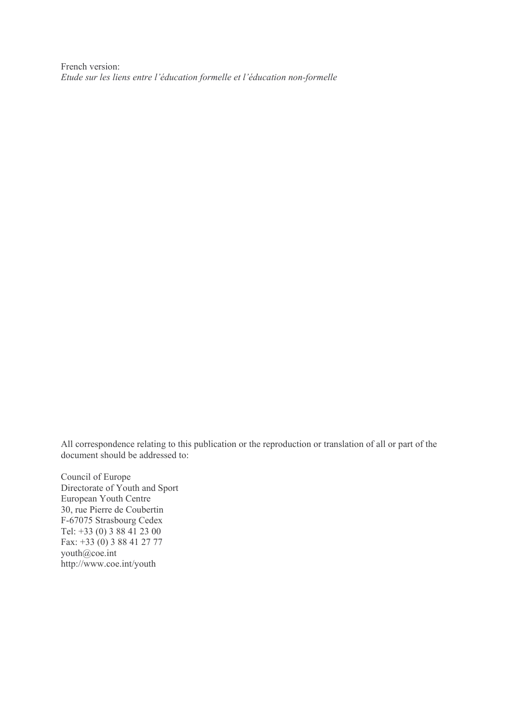French version: Etude sur les liens entre l'éducation formelle et l'éducation non-formelle

All correspondence relating to this publication or the reproduction or translation of all or part of the document should be addressed to:

Council of Europe Directorate of Youth and Sport European Youth Centre 30, rue Pierre de Coubertin F-67075 Strasbourg Cedex Tel:  $+33(0)388412300$ Fax:  $+33(0)$  3 88 41 27 77 youth@coe.int http://www.coe.int/youth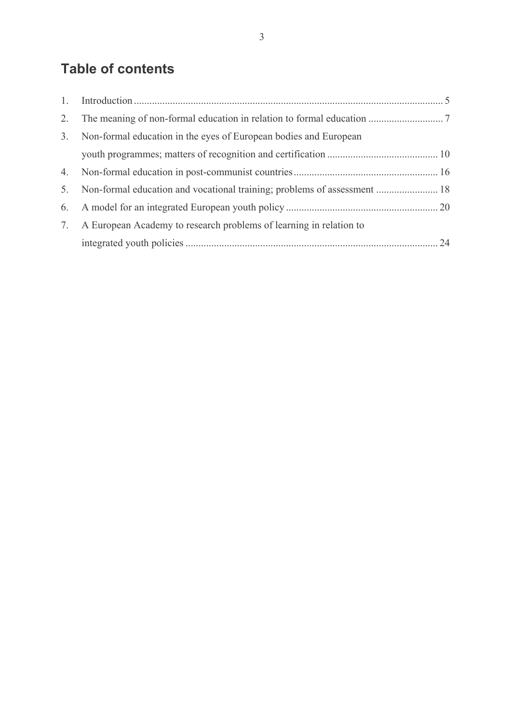## **Table of contents**

| 2. |                                                                          |  |
|----|--------------------------------------------------------------------------|--|
| 3. | Non-formal education in the eyes of European bodies and European         |  |
|    |                                                                          |  |
|    |                                                                          |  |
| 5. | Non-formal education and vocational training; problems of assessment  18 |  |
|    |                                                                          |  |
|    | 7. A European Academy to research problems of learning in relation to    |  |
|    |                                                                          |  |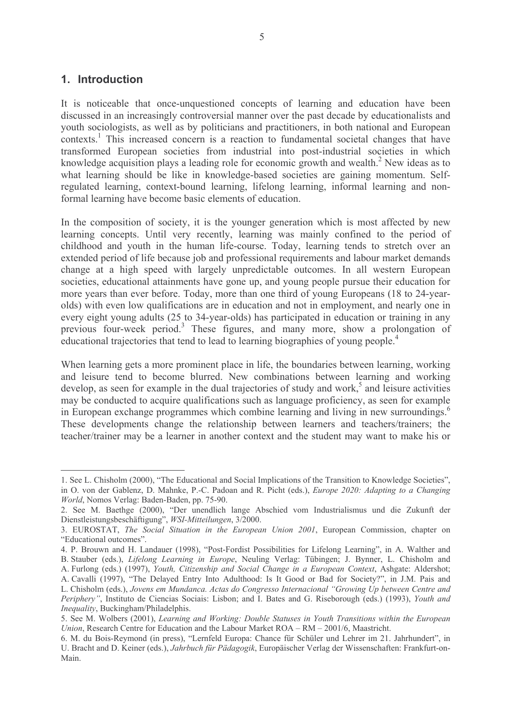### 1. Introduction

It is noticeable that once-unquestioned concepts of learning and education have been discussed in an increasingly controversial manner over the past decade by educationalists and youth sociologists, as well as by politicians and practitioners, in both national and European contexts.<sup>1</sup> This increased concern is a reaction to fundamental societal changes that have transformed European societies from industrial into post-industrial societies in which knowledge acquisition plays a leading role for economic growth and wealth.<sup>2</sup> New ideas as to what learning should be like in knowledge-based societies are gaining momentum. Selfregulated learning, context-bound learning, lifelong learning, informal learning and nonformal learning have become basic elements of education.

In the composition of society, it is the younger generation which is most affected by new learning concepts. Until very recently, learning was mainly confined to the period of childhood and youth in the human life-course. Today, learning tends to stretch over an extended period of life because job and professional requirements and labour market demands change at a high speed with largely unpredictable outcomes. In all western European societies, educational attainments have gone up, and young people pursue their education for more years than ever before. Today, more than one third of young Europeans (18 to 24-yearolds) with even low qualifications are in education and not in employment, and nearly one in every eight young adults (25 to 34-year-olds) has participated in education or training in any previous four-week period.<sup>3</sup> These figures, and many more, show a prolongation of educational trajectories that tend to lead to learning biographies of young people.<sup>4</sup>

When learning gets a more prominent place in life, the boundaries between learning, working and leisure tend to become blurred. New combinations between learning and working develop, as seen for example in the dual trajectories of study and work,<sup>5</sup> and leisure activities may be conducted to acquire qualifications such as language proficiency, as seen for example in European exchange programmes which combine learning and living in new surroundings.<sup>6</sup> These developments change the relationship between learners and teachers/trainers; the teacher/trainer may be a learner in another context and the student may want to make his or

<sup>1.</sup> See L. Chisholm (2000), "The Educational and Social Implications of the Transition to Knowledge Societies". in O. von der Gablenz. D. Mahnke, P.-C. Padoan and R. Picht (eds.), *Europe 2020: Adapting to a Changing* World, Nomos Verlag: Baden-Baden, pp. 75-90.

<sup>2.</sup> See M. Baethge (2000), "Der unendlich lange Abschied vom Industrialismus und die Zukunft der Dienstleistungsbeschäftigung", WSI-Mitteilungen, 3/2000.

<sup>3.</sup> EUROSTAT, The Social Situation in the European Union 2001, European Commission, chapter on "Educational outcomes".

<sup>4.</sup> P. Brouwn and H. Landauer (1998), "Post-Fordist Possibilities for Lifelong Learning", in A. Walther and B. Stauber (eds.), Lifelong Learning in Europe, Neuling Verlag: Tübingen; J. Bynner, L. Chisholm and

A. Furlong (eds.) (1997), Youth, Citizenship and Social Change in a European Context, Ashgate: Aldershot;

A. Cavalli (1997), "The Delayed Entry Into Adulthood: Is It Good or Bad for Society?", in J.M. Pais and L. Chisholm (eds.), Jovens em Mundanca. Actas do Congresso Internacional "Growing Up between Centre and Periphery", Instituto de Ciencias Sociais: Lisbon; and I. Bates and G. Riseborough (eds.) (1993), Youth and Inequality, Buckingham/Philadelphis.

<sup>5.</sup> See M. Wolbers (2001), Learning and Working: Double Statuses in Youth Transitions within the European Union, Research Centre for Education and the Labour Market ROA - RM - 2001/6, Maastricht.

<sup>6.</sup> M. du Bois-Reymond (in press), "Lernfeld Europa: Chance für Schüler und Lehrer im 21. Jahrhundert", in U. Bracht and D. Keiner (eds.), Jahrbuch für Pädagogik, Europäischer Verlag der Wissenschaften: Frankfurt-on-Main.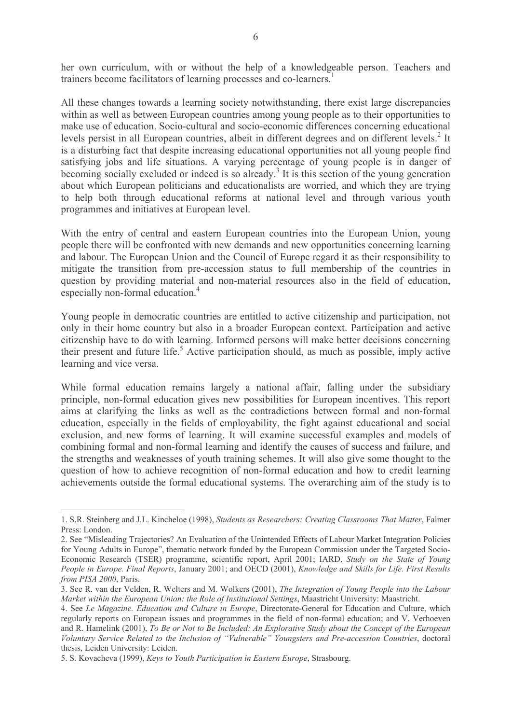her own curriculum, with or without the help of a knowledgeable person. Teachers and trainers become facilitators of learning processes and co-learners.<sup>1</sup>

All these changes towards a learning society notwithstanding, there exist large discrepancies within as well as between European countries among young people as to their opportunities to make use of education. Socio-cultural and socio-economic differences concerning educational levels persist in all European countries, albeit in different degrees and on different levels.<sup>2</sup> It is a disturbing fact that despite increasing educational opportunities not all young people find satisfying jobs and life situations. A varying percentage of young people is in danger of becoming socially excluded or indeed is so already.<sup>3</sup> It is this section of the young generation about which European politicians and educationalists are worried, and which they are trying to help both through educational reforms at national level and through various youth programmes and initiatives at European level.

With the entry of central and eastern European countries into the European Union, young people there will be confronted with new demands and new opportunities concerning learning and labour. The European Union and the Council of Europe regard it as their responsibility to mitigate the transition from pre-accession status to full membership of the countries in question by providing material and non-material resources also in the field of education, especially non-formal education.<sup>4</sup>

Young people in democratic countries are entitled to active citizenship and participation, not only in their home country but also in a broader European context. Participation and active citizenship have to do with learning. Informed persons will make better decisions concerning their present and future life.<sup>5</sup> Active participation should, as much as possible, imply active learning and vice versa.

While formal education remains largely a national affair, falling under the subsidiary principle, non-formal education gives new possibilities for European incentives. This report aims at clarifying the links as well as the contradictions between formal and non-formal education, especially in the fields of employability, the fight against educational and social exclusion, and new forms of learning. It will examine successful examples and models of combining formal and non-formal learning and identify the causes of success and failure, and the strengths and weaknesses of youth training schemes. It will also give some thought to the question of how to achieve recognition of non-formal education and how to credit learning achievements outside the formal educational systems. The overarching aim of the study is to

<sup>1.</sup> S.R. Steinberg and J.L. Kincheloe (1998). Students as Researchers: Creating Classrooms That Matter. Falmer Press: London.

<sup>2.</sup> See "Misleading Trajectories? An Evaluation of the Unintended Effects of Labour Market Integration Policies for Young Adults in Europe", thematic network funded by the European Commission under the Targeted Socio-Economic Research (TSER) programme, scientific report, April 2001; IARD, Study on the State of Young People in Europe. Final Reports, January 2001; and OECD (2001), Knowledge and Skills for Life. First Results from PISA 2000, Paris.

<sup>3.</sup> See R, van der Velden, R. Welters and M. Wolkers (2001). The Integration of Young People into the Labour Market within the European Union: the Role of Institutional Settings, Maastricht University: Maastricht.

<sup>4.</sup> See Le Magazine. Education and Culture in Europe, Directorate-General for Education and Culture, which regularly reports on European issues and programmes in the field of non-formal education; and V. Verhoeven and R. Hamelink (2001), To Be or Not to Be Included: An Explorative Study about the Concept of the European Voluntary Service Related to the Inclusion of "Vulnerable" Youngsters and Pre-accession Countries, doctoral thesis, Leiden University: Leiden.

<sup>5.</sup> S. Kovacheva (1999), Keys to Youth Participation in Eastern Europe, Strasbourg.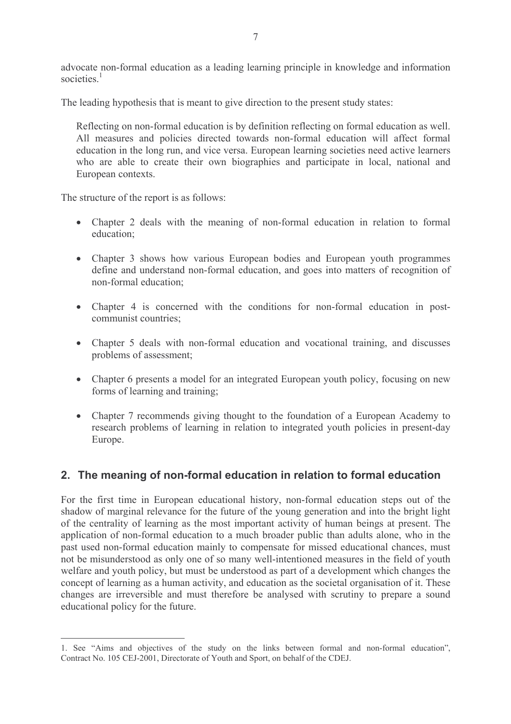advocate non-formal education as a leading learning principle in knowledge and information societies $1$ 

The leading hypothesis that is meant to give direction to the present study states:

Reflecting on non-formal education is by definition reflecting on formal education as well. All measures and policies directed towards non-formal education will affect formal education in the long run, and vice versa. European learning societies need active learners who are able to create their own biographies and participate in local, national and European contexts.

The structure of the report is as follows:

- Chapter 2 deals with the meaning of non-formal education in relation to formal education:
- Chapter 3 shows how various European bodies and European youth programmes define and understand non-formal education, and goes into matters of recognition of non-formal education:
- Chapter 4 is concerned with the conditions for non-formal education in postcommunist countries:
- Chapter 5 deals with non-formal education and vocational training, and discusses problems of assessment:
- Chapter 6 presents a model for an integrated European youth policy, focusing on new forms of learning and training;
- Chapter 7 recommends giving thought to the foundation of a European Academy to research problems of learning in relation to integrated youth policies in present-day Europe.

### 2. The meaning of non-formal education in relation to formal education

For the first time in European educational history, non-formal education steps out of the shadow of marginal relevance for the future of the young generation and into the bright light of the centrality of learning as the most important activity of human beings at present. The application of non-formal education to a much broader public than adults alone, who in the past used non-formal education mainly to compensate for missed educational chances, must not be misunderstood as only one of so many well-intentioned measures in the field of youth welfare and youth policy, but must be understood as part of a development which changes the concept of learning as a human activity, and education as the societal organisation of it. These changes are irreversible and must therefore be analysed with scrutiny to prepare a sound educational policy for the future.

<sup>1.</sup> See "Aims and objectives of the study on the links between formal and non-formal education", Contract No. 105 CEJ-2001, Directorate of Youth and Sport, on behalf of the CDEJ.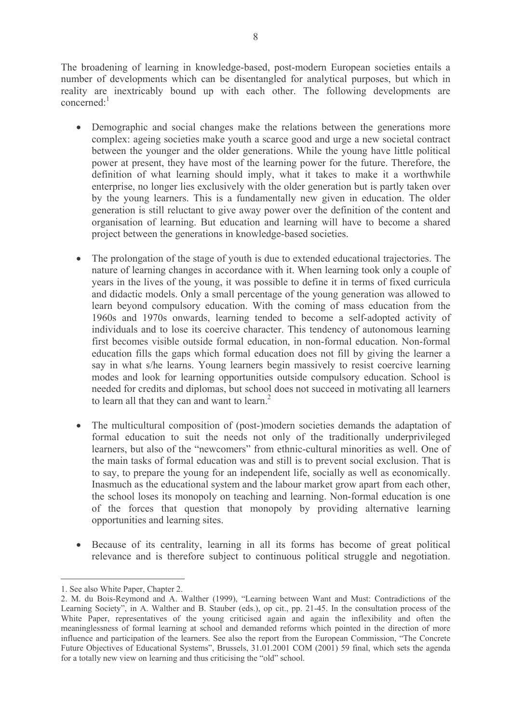The broadening of learning in knowledge-based, post-modern European societies entails a number of developments which can be disentangled for analytical purposes, but which in reality are inextricably bound up with each other. The following developments are concerned: $<sup>1</sup>$ </sup>

- Demographic and social changes make the relations between the generations more complex: ageing societies make youth a scarce good and urge a new societal contract between the younger and the older generations. While the young have little political power at present, they have most of the learning power for the future. Therefore, the definition of what learning should imply, what it takes to make it a worthwhile enterprise, no longer lies exclusively with the older generation but is partly taken over by the young learners. This is a fundamentally new given in education. The older generation is still reluctant to give away power over the definition of the content and organisation of learning. But education and learning will have to become a shared project between the generations in knowledge-based societies.
- The prolongation of the stage of youth is due to extended educational trajectories. The  $\bullet$ nature of learning changes in accordance with it. When learning took only a couple of years in the lives of the young, it was possible to define it in terms of fixed curricula and didactic models. Only a small percentage of the young generation was allowed to learn beyond compulsory education. With the coming of mass education from the 1960s and 1970s onwards, learning tended to become a self-adopted activity of individuals and to lose its coercive character. This tendency of autonomous learning first becomes visible outside formal education, in non-formal education. Non-formal education fills the gaps which formal education does not fill by giving the learner a say in what s/he learns. Young learners begin massively to resist coercive learning modes and look for learning opportunities outside compulsory education. School is needed for credits and diplomas, but school does not succeed in motivating all learners to learn all that they can and want to learn.<sup>2</sup>
- The multicultural composition of (post-)modern societies demands the adaptation of  $\bullet$ formal education to suit the needs not only of the traditionally underprivileged learners, but also of the "newcomers" from ethnic-cultural minorities as well. One of the main tasks of formal education was and still is to prevent social exclusion. That is to say, to prepare the young for an independent life, socially as well as economically. Inasmuch as the educational system and the labour market grow apart from each other, the school loses its monopoly on teaching and learning. Non-formal education is one of the forces that question that monopoly by providing alternative learning opportunities and learning sites.
- Because of its centrality, learning in all its forms has become of great political relevance and is therefore subject to continuous political struggle and negotiation.

<sup>1.</sup> See also White Paper. Chapter 2.

<sup>2.</sup> M. du Bois-Reymond and A. Walther (1999), "Learning between Want and Must: Contradictions of the Learning Society", in A. Walther and B. Stauber (eds.), op cit., pp. 21-45. In the consultation process of the White Paper, representatives of the young criticised again and again the inflexibility and often the meaninglessness of formal learning at school and demanded reforms which pointed in the direction of more influence and participation of the learners. See also the report from the European Commission, "The Concrete Future Objectives of Educational Systems", Brussels, 31.01.2001 COM (2001) 59 final, which sets the agenda for a totally new view on learning and thus criticising the "old" school.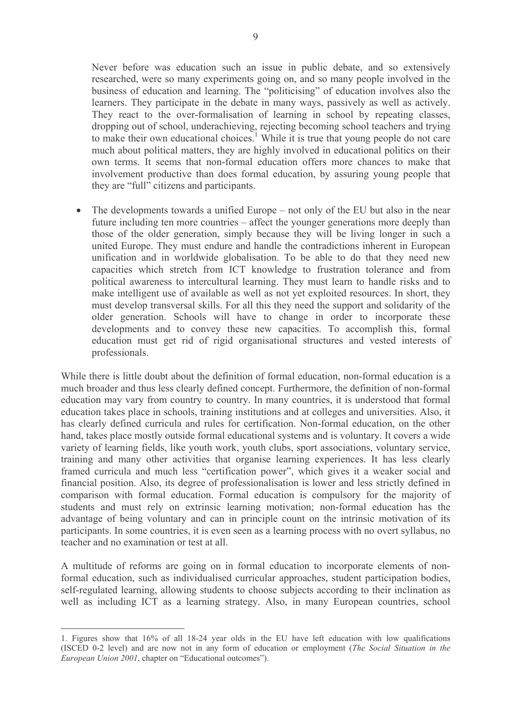Never before was education such an issue in public debate, and so extensively researched, were so many experiments going on, and so many people involved in the business of education and learning. The "politicising" of education involves also the learners. They participate in the debate in many ways, passively as well as actively. They react to the over-formalisation of learning in school by repeating classes, dropping out of school, underachieving, rejecting becoming school teachers and trying to make their own educational choices.<sup>1</sup> While it is true that young people do not care much about political matters, they are highly involved in educational politics on their own terms. It seems that non-formal education offers more chances to make that involvement productive than does formal education, by assuring young people that they are "full" citizens and participants.

The developments towards a unified Europe – not only of the EU but also in the near  $\bullet$ future including ten more countries – affect the younger generations more deeply than those of the older generation, simply because they will be living longer in such a united Europe. They must endure and handle the contradictions inherent in European unification and in worldwide globalisation. To be able to do that they need new capacities which stretch from ICT knowledge to frustration tolerance and from political awareness to intercultural learning. They must learn to handle risks and to make intelligent use of available as well as not yet exploited resources. In short, they must develop transversal skills. For all this they need the support and solidarity of the older generation. Schools will have to change in order to incorporate these developments and to convey these new capacities. To accomplish this, formal education must get rid of rigid organisational structures and vested interests of professionals.

While there is little doubt about the definition of formal education, non-formal education is a much broader and thus less clearly defined concept. Furthermore, the definition of non-formal education may vary from country to country. In many countries, it is understood that formal education takes place in schools, training institutions and at colleges and universities. Also, it has clearly defined curricula and rules for certification. Non-formal education, on the other hand, takes place mostly outside formal educational systems and is voluntary. It covers a wide variety of learning fields, like youth work, youth clubs, sport associations, voluntary service, training and many other activities that organise learning experiences. It has less clearly framed curricula and much less "certification power", which gives it a weaker social and financial position. Also, its degree of professionalisation is lower and less strictly defined in comparison with formal education. Formal education is compulsory for the majority of students and must rely on extrinsic learning motivation; non-formal education has the advantage of being voluntary and can in principle count on the intrinsic motivation of its participants. In some countries, it is even seen as a learning process with no overt syllabus, no teacher and no examination or test at all.

A multitude of reforms are going on in formal education to incorporate elements of nonformal education, such as individualised curricular approaches, student participation bodies, self-regulated learning, allowing students to choose subjects according to their inclination as well as including ICT as a learning strategy. Also, in many European countries, school

<sup>1.</sup> Figures show that 16% of all 18-24 year olds in the EU have left education with low qualifications (ISCED 0-2 level) and are now not in any form of education or employment (The Social Situation in the European Union 2001, chapter on "Educational outcomes").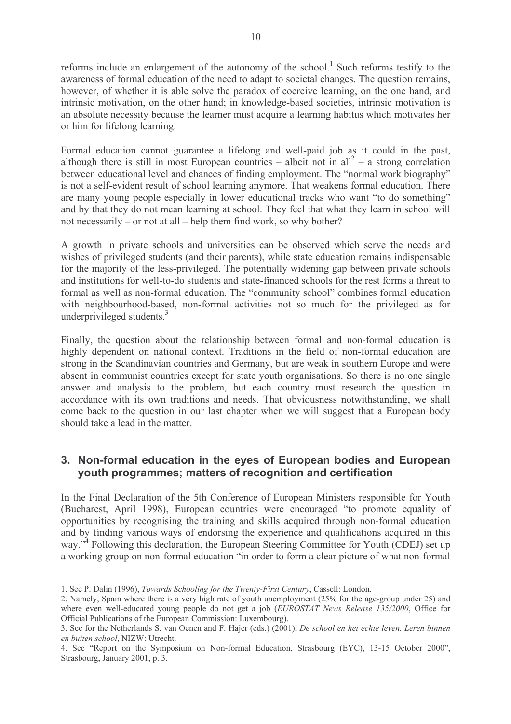reforms include an enlargement of the autonomy of the school.<sup>1</sup> Such reforms testify to the awareness of formal education of the need to adapt to societal changes. The question remains, however, of whether it is able solve the paradox of coercive learning, on the one hand, and intrinsic motivation, on the other hand; in knowledge-based societies, intrinsic motivation is an absolute necessity because the learner must acquire a learning habitus which motivates her or him for lifelong learning.

Formal education cannot guarantee a lifelong and well-paid job as it could in the past, although there is still in most European countries – albeit not in all<sup>2</sup> – a strong correlation between educational level and chances of finding employment. The "normal work biography" is not a self-evident result of school learning anymore. That weakens formal education. There are many young people especially in lower educational tracks who want "to do something" and by that they do not mean learning at school. They feel that what they learn in school will not necessarily – or not at all – help them find work, so why bother?

A growth in private schools and universities can be observed which serve the needs and wishes of privileged students (and their parents), while state education remains indispensable for the majority of the less-privileged. The potentially widening gap between private schools and institutions for well-to-do students and state-financed schools for the rest forms a threat to formal as well as non-formal education. The "community school" combines formal education with neighbourhood-based, non-formal activities not so much for the privileged as for underprivileged students.<sup>3</sup>

Finally, the question about the relationship between formal and non-formal education is highly dependent on national context. Traditions in the field of non-formal education are strong in the Scandinavian countries and Germany, but are weak in southern Europe and were absent in communist countries except for state youth organisations. So there is no one single answer and analysis to the problem, but each country must research the question in accordance with its own traditions and needs. That obviousness notwithstanding, we shall come back to the question in our last chapter when we will suggest that a European body should take a lead in the matter

### 3. Non-formal education in the eyes of European bodies and European youth programmes; matters of recognition and certification

In the Final Declaration of the 5th Conference of European Ministers responsible for Youth (Bucharest, April 1998), European countries were encouraged "to promote equality of opportunities by recognising the training and skills acquired through non-formal education and by finding various ways of endorsing the experience and qualifications acquired in this way."<sup>4</sup> Following this declaration, the European Steering Committee for Youth (CDEJ) set up a working group on non-formal education "in order to form a clear picture of what non-formal

<sup>1.</sup> See P. Dalin (1996), Towards Schooling for the Twenty-First Century, Cassell: London.

<sup>2.</sup> Namely, Spain where there is a very high rate of youth unemployment (25% for the age-group under 25) and where even well-educated young people do not get a job (EUROSTAT News Release 135/2000, Office for Official Publications of the European Commission: Luxembourg).

<sup>3.</sup> See for the Netherlands S. van Oenen and F. Hajer (eds.) (2001), *De school en het echte leven. Leren binnen* en buiten school, NIZW: Utrecht.

<sup>4.</sup> See "Report on the Symposium on Non-formal Education, Strasbourg (EYC), 13-15 October 2000", Strasbourg, January 2001, p. 3.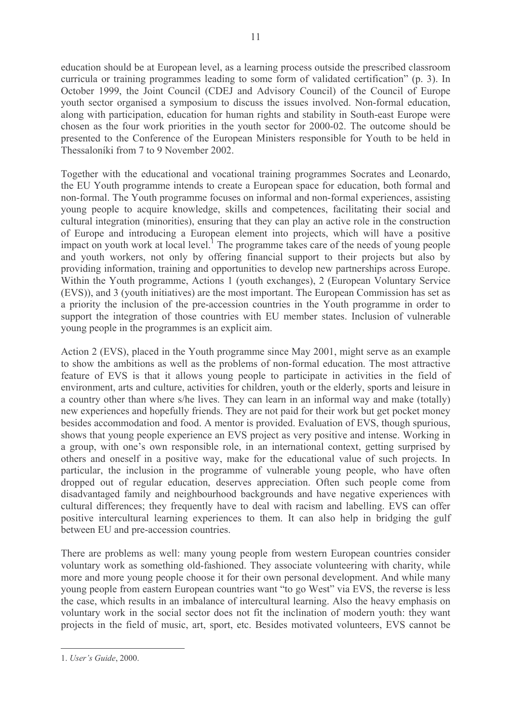education should be at European level, as a learning process outside the prescribed classroom curricula or training programmes leading to some form of validated certification" (p. 3). In October 1999, the Joint Council (CDEJ and Advisory Council) of the Council of Europe youth sector organised a symposium to discuss the issues involved. Non-formal education, along with participation, education for human rights and stability in South-east Europe were chosen as the four work priorities in the youth sector for 2000-02. The outcome should be presented to the Conference of the European Ministers responsible for Youth to be held in Thessaloníki from 7 to 9 November 2002.

Together with the educational and vocational training programmes Socrates and Leonardo, the EU Youth programme intends to create a European space for education, both formal and non-formal. The Youth programme focuses on informal and non-formal experiences, assisting young people to acquire knowledge, skills and competences, facilitating their social and cultural integration (minorities), ensuring that they can play an active role in the construction of Europe and introducing a European element into projects, which will have a positive impact on youth work at local level.<sup>1</sup> The programme takes care of the needs of young people and youth workers, not only by offering financial support to their projects but also by providing information, training and opportunities to develop new partnerships across Europe. Within the Youth programme, Actions 1 (youth exchanges), 2 (European Voluntary Service (EVS)), and 3 (youth initiatives) are the most important. The European Commission has set as a priority the inclusion of the pre-accession countries in the Youth programme in order to support the integration of those countries with EU member states. Inclusion of vulnerable voung people in the programmes is an explicit aim.

Action 2 (EVS), placed in the Youth programme since May 2001, might serve as an example to show the ambitions as well as the problems of non-formal education. The most attractive feature of EVS is that it allows young people to participate in activities in the field of environment, arts and culture, activities for children, youth or the elderly, sports and leisure in a country other than where s/he lives. They can learn in an informal way and make (totally) new experiences and hopefully friends. They are not paid for their work but get pocket money besides accommodation and food. A mentor is provided. Evaluation of EVS, though spurious, shows that young people experience an EVS project as very positive and intense. Working in a group, with one's own responsible role, in an international context, getting surprised by others and oneself in a positive way, make for the educational value of such projects. In particular, the inclusion in the programme of vulnerable young people, who have often dropped out of regular education, deserves appreciation. Often such people come from disadvantaged family and neighbourhood backgrounds and have negative experiences with cultural differences; they frequently have to deal with racism and labelling. EVS can offer positive intercultural learning experiences to them. It can also help in bridging the gulf between EU and pre-accession countries.

There are problems as well: many young people from western European countries consider voluntary work as something old-fashioned. They associate volunteering with charity, while more and more young people choose it for their own personal development. And while many young people from eastern European countries want "to go West" via EVS, the reverse is less the case, which results in an imbalance of intercultural learning. Also the heavy emphasis on voluntary work in the social sector does not fit the inclination of modern youth; they want projects in the field of music, art, sport, etc. Besides motivated volunteers, EVS cannot be

<sup>1.</sup> User's Guide, 2000.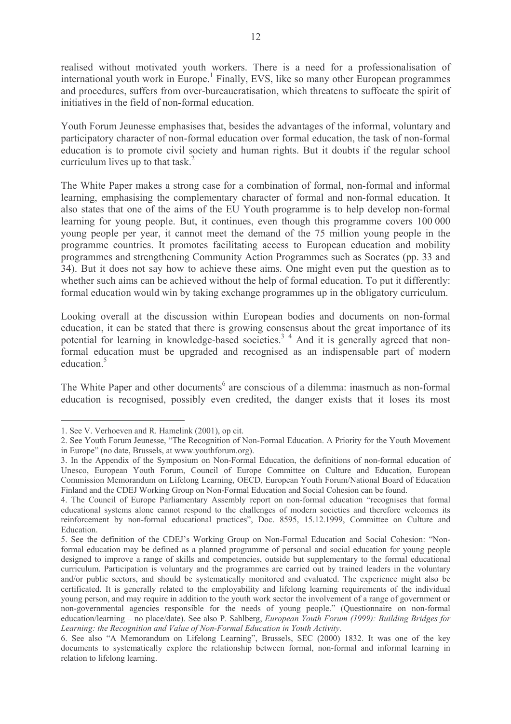realised without motivated youth workers. There is a need for a professionalisation of international youth work in Europe.<sup>1</sup> Finally, EVS, like so many other European programmes and procedures, suffers from over-bureaucratisation, which threatens to suffocate the spirit of initiatives in the field of non-formal education.

Youth Forum Jeunesse emphasises that, besides the advantages of the informal, voluntary and participatory character of non-formal education over formal education, the task of non-formal education is to promote civil society and human rights. But it doubts if the regular school curriculum lives up to that task. $^{2}$ 

The White Paper makes a strong case for a combination of formal, non-formal and informal learning, emphasising the complementary character of formal and non-formal education. It also states that one of the aims of the EU Youth programme is to help develop non-formal learning for young people. But, it continues, even though this programme covers 100 000 young people per year, it cannot meet the demand of the 75 million young people in the programme countries. It promotes facilitating access to European education and mobility programmes and strengthening Community Action Programmes such as Socrates (pp. 33 and 34). But it does not say how to achieve these aims. One might even put the question as to whether such aims can be achieved without the help of formal education. To put it differently: formal education would win by taking exchange programmes up in the obligatory curriculum.

Looking overall at the discussion within European bodies and documents on non-formal education, it can be stated that there is growing consensus about the great importance of its potential for learning in knowledge-based societies.<sup>3</sup> 4 And it is generally agreed that nonformal education must be upgraded and recognised as an indispensable part of modern education<sup>5</sup>

The White Paper and other documents<sup>6</sup> are conscious of a dilemma: inasmuch as non-formal education is recognised, possibly even credited, the danger exists that it loses its most

<sup>1.</sup> See V. Verhoeven and R. Hamelink (2001), op cit.

<sup>2.</sup> See Youth Forum Jeunesse, "The Recognition of Non-Formal Education. A Priority for the Youth Movement in Europe" (no date, Brussels, at www.youthforum.org).

<sup>3.</sup> In the Appendix of the Symposium on Non-Formal Education, the definitions of non-formal education of Unesco, European Youth Forum, Council of Europe Committee on Culture and Education, European Commission Memorandum on Lifelong Learning, OECD, European Youth Forum/National Board of Education Finland and the CDEJ Working Group on Non-Formal Education and Social Cohesion can be found.

<sup>4.</sup> The Council of Europe Parliamentary Assembly report on non-formal education "recognises that formal educational systems alone cannot respond to the challenges of modern societies and therefore welcomes its reinforcement by non-formal educational practices", Doc. 8595, 15.12.1999, Committee on Culture and Education.

<sup>5.</sup> See the definition of the CDEJ's Working Group on Non-Formal Education and Social Cohesion: "Nonformal education may be defined as a planned programme of personal and social education for young people designed to improve a range of skills and competencies, outside but supplementary to the formal educational curriculum. Participation is voluntary and the programmes are carried out by trained leaders in the voluntary and/or public sectors, and should be systematically monitored and evaluated. The experience might also be certificated. It is generally related to the employability and lifelong learning requirements of the individual young person, and may require in addition to the youth work sector the involvement of a range of government or non-governmental agencies responsible for the needs of young people." (Questionnaire on non-formal education/learning – no place/date). See also P. Sahlberg, *European Youth Forum (1999): Building Bridges for* Learning: the Recognition and Value of Non-Formal Education in Youth Activity.

<sup>6.</sup> See also "A Memorandum on Lifelong Learning", Brussels, SEC (2000) 1832. It was one of the key documents to systematically explore the relationship between formal, non-formal and informal learning in relation to lifelong learning.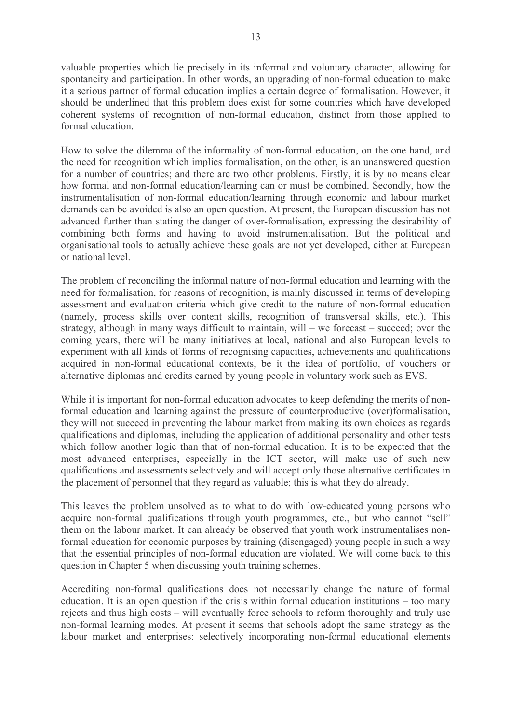valuable properties which lie precisely in its informal and voluntary character, allowing for spontaneity and participation. In other words, an upgrading of non-formal education to make it a serious partner of formal education implies a certain degree of formalisation. However, it should be underlined that this problem does exist for some countries which have developed coherent systems of recognition of non-formal education, distinct from those applied to formal education

How to solve the dilemma of the informality of non-formal education, on the one hand, and the need for recognition which implies formalisation, on the other, is an unanswered question for a number of countries; and there are two other problems. Firstly, it is by no means clear how formal and non-formal education/learning can or must be combined. Secondly, how the instrumentalisation of non-formal education/learning through economic and labour market demands can be avoided is also an open question. At present, the European discussion has not advanced further than stating the danger of over-formalisation, expressing the desirability of combining both forms and having to avoid instrumentalisation. But the political and organisational tools to actually achieve these goals are not yet developed, either at European or national level.

The problem of reconciling the informal nature of non-formal education and learning with the need for formalisation, for reasons of recognition, is mainly discussed in terms of developing assessment and evaluation criteria which give credit to the nature of non-formal education (namely, process skills over content skills, recognition of transversal skills, etc.). This strategy, although in many ways difficult to maintain, will – we forecast – succeed; over the coming years, there will be many initiatives at local, national and also European levels to experiment with all kinds of forms of recognising capacities, achievements and qualifications acquired in non-formal educational contexts, be it the idea of portfolio, of vouchers or alternative diplomas and credits earned by young people in voluntary work such as EVS.

While it is important for non-formal education advocates to keep defending the merits of nonformal education and learning against the pressure of counterproductive (over)formalisation, they will not succeed in preventing the labour market from making its own choices as regards qualifications and diplomas, including the application of additional personality and other tests which follow another logic than that of non-formal education. It is to be expected that the most advanced enterprises, especially in the ICT sector, will make use of such new qualifications and assessments selectively and will accept only those alternative certificates in the placement of personnel that they regard as valuable; this is what they do already.

This leaves the problem unsolved as to what to do with low-educated young persons who acquire non-formal qualifications through youth programmes, etc., but who cannot "sell" them on the labour market. It can already be observed that youth work instrumentalises nonformal education for economic purposes by training (disengaged) young people in such a way that the essential principles of non-formal education are violated. We will come back to this question in Chapter 5 when discussing youth training schemes.

Accrediting non-formal qualifications does not necessarily change the nature of formal education. It is an open question if the crisis within formal education institutions  $-$  too many rejects and thus high costs – will eventually force schools to reform thoroughly and truly use non-formal learning modes. At present it seems that schools adopt the same strategy as the labour market and enterprises: selectively incorporating non-formal educational elements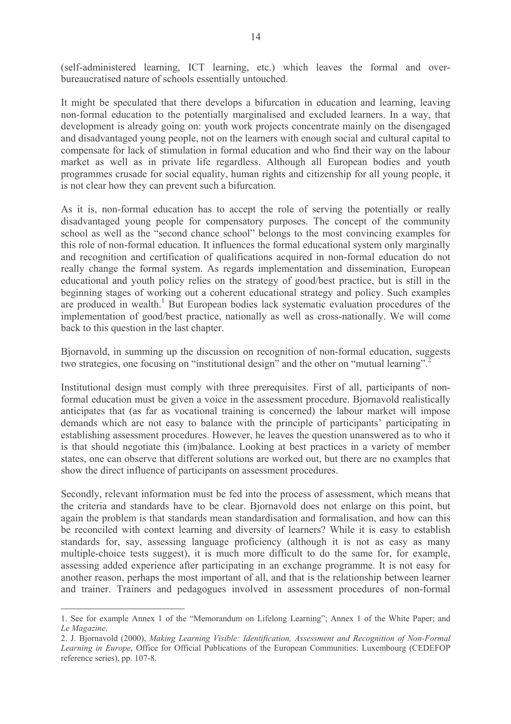(self-administered learning, ICT learning, etc.) which leaves the formal and overbureaucratised nature of schools essentially untouched.

It might be speculated that there develops a bifurcation in education and learning, leaving non-formal education to the potentially marginalised and excluded learners. In a way, that development is already going on: youth work projects concentrate mainly on the disengaged and disadvantaged young people, not on the learners with enough social and cultural capital to compensate for lack of stimulation in formal education and who find their way on the labour market as well as in private life regardless. Although all European bodies and youth programmes crusade for social equality, human rights and citizenship for all young people, it is not clear how they can prevent such a bifurcation.

As it is, non-formal education has to accept the role of serving the potentially or really disadvantaged young people for compensatory purposes. The concept of the community school as well as the "second chance school" belongs to the most convincing examples for this role of non-formal education. It influences the formal educational system only marginally and recognition and certification of qualifications acquired in non-formal education do not really change the formal system. As regards implementation and dissemination, European educational and youth policy relies on the strategy of good/best practice, but is still in the beginning stages of working out a coherent educational strategy and policy. Such examples are produced in wealth.<sup>1</sup> But European bodies lack systematic evaluation procedures of the implementation of good/best practice, nationally as well as cross-nationally. We will come back to this question in the last chapter.

Biornavold, in summing up the discussion on recognition of non-formal education, suggests two strategies, one focusing on "institutional design" and the other on "mutual learning".

Institutional design must comply with three prerequisites. First of all, participants of nonformal education must be given a voice in the assessment procedure. Bjornavold realistically anticipates that (as far as vocational training is concerned) the labour market will impose demands which are not easy to balance with the principle of participants' participating in establishing assessment procedures. However, he leaves the question unanswered as to who it is that should negotiate this (im)balance. Looking at best practices in a variety of member states, one can observe that different solutions are worked out, but there are no examples that show the direct influence of participants on assessment procedures.

Secondly, relevant information must be fed into the process of assessment, which means that the criteria and standards have to be clear. Biornavold does not enlarge on this point, but again the problem is that standards mean standardisation and formalisation, and how can this be reconciled with context learning and diversity of learners? While it is easy to establish standards for, say, assessing language proficiency (although it is not as easy as many multiple-choice tests suggest), it is much more difficult to do the same for, for example, assessing added experience after participating in an exchange programme. It is not easy for another reason, perhaps the most important of all, and that is the relationship between learner and trainer. Trainers and pedagogues involved in assessment procedures of non-formal

<sup>1.</sup> See for example Annex 1 of the "Memorandum on Lifelong Learning"; Annex 1 of the White Paper; and Le Magazine.

<sup>2.</sup> J. Bjornavold (2000), Making Learning Visible: Identification, Assessment and Recognition of Non-Formal Learning in Europe, Office for Official Publications of the European Communities: Luxembourg (CEDEFOP reference series), pp. 107-8.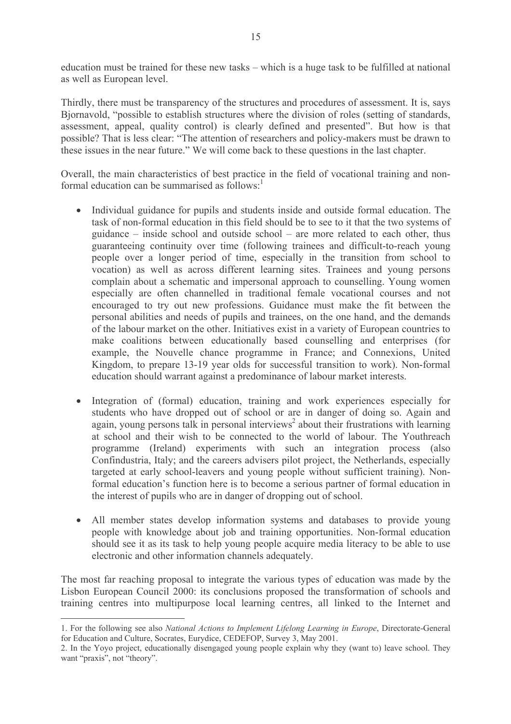education must be trained for these new tasks – which is a huge task to be fulfilled at national as well as European level.

Thirdly, there must be transparency of the structures and procedures of assessment. It is, says Biornavold, "possible to establish structures where the division of roles (setting of standards, assessment, appeal, quality control) is clearly defined and presented". But how is that possible? That is less clear: "The attention of researchers and policy-makers must be drawn to these issues in the near future." We will come back to these questions in the last chapter.

Overall, the main characteristics of best practice in the field of vocational training and nonformal education can be summarised as  $\text{follows}$ <sup>1</sup>

- Individual guidance for pupils and students inside and outside formal education. The task of non-formal education in this field should be to see to it that the two systems of guidance – inside school and outside school – are more related to each other, thus guaranteeing continuity over time (following trainees and difficult-to-reach young people over a longer period of time, especially in the transition from school to vocation) as well as across different learning sites. Trainees and voung persons complain about a schematic and impersonal approach to counselling. Young women especially are often channelled in traditional female vocational courses and not encouraged to try out new professions. Guidance must make the fit between the personal abilities and needs of pupils and trainees, on the one hand, and the demands of the labour market on the other. Initiatives exist in a variety of European countries to make coalitions between educationally based counselling and enterprises (for example, the Nouvelle chance programme in France; and Connexions, United Kingdom, to prepare 13-19 year olds for successful transition to work). Non-formal education should warrant against a predominance of labour market interests.
- Integration of (formal) education, training and work experiences especially for  $\bullet$ students who have dropped out of school or are in danger of doing so. Again and again, young persons talk in personal interviews<sup>2</sup> about their frustrations with learning at school and their wish to be connected to the world of labour. The Youthreach programme (Ireland) experiments with such an integration process (also Confindustria, Italy; and the careers advisers pilot project, the Netherlands, especially targeted at early school-leavers and young people without sufficient training). Nonformal education's function here is to become a serious partner of formal education in the interest of pupils who are in danger of dropping out of school.
- All member states develop information systems and databases to provide young people with knowledge about job and training opportunities. Non-formal education should see it as its task to help young people acquire media literacy to be able to use electronic and other information channels adequately.

The most far reaching proposal to integrate the various types of education was made by the Lisbon European Council 2000: its conclusions proposed the transformation of schools and training centres into multipurpose local learning centres, all linked to the Internet and

<sup>1.</sup> For the following see also National Actions to Implement Lifelong Learning in Europe, Directorate-General for Education and Culture, Socrates, Eurydice, CEDEFOP, Survey 3, May 2001.

<sup>2.</sup> In the Yoyo project, educationally disengaged young people explain why they (want to) leave school. They want "praxis", not "theory".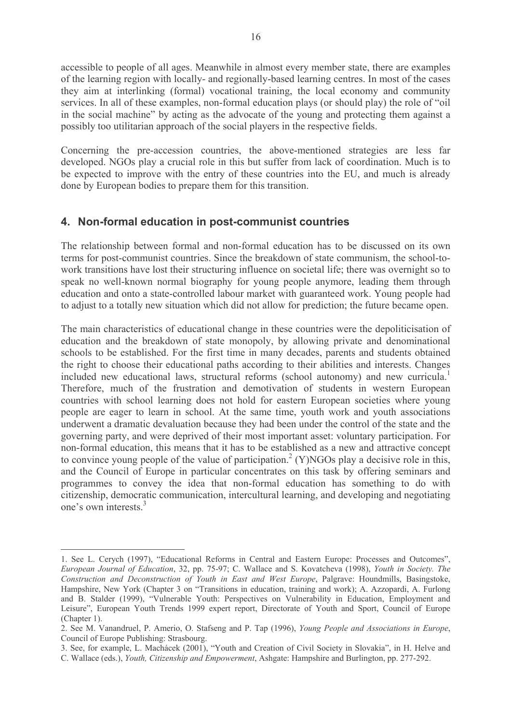accessible to people of all ages. Meanwhile in almost every member state, there are examples of the learning region with locally- and regionally-based learning centres. In most of the cases they aim at interlinking (formal) vocational training, the local economy and community services. In all of these examples, non-formal education plays (or should play) the role of "oil" in the social machine" by acting as the advocate of the young and protecting them against a possibly too utilitarian approach of the social players in the respective fields.

Concerning the pre-accession countries, the above-mentioned strategies are less far developed. NGOs play a crucial role in this but suffer from lack of coordination. Much is to be expected to improve with the entry of these countries into the EU, and much is already done by European bodies to prepare them for this transition.

### 4. Non-formal education in post-communist countries

The relationship between formal and non-formal education has to be discussed on its own terms for post-communist countries. Since the breakdown of state communism, the school-towork transitions have lost their structuring influence on societal life; there was overnight so to speak no well-known normal biography for young people anymore, leading them through education and onto a state-controlled labour market with guaranteed work. Young people had to adjust to a totally new situation which did not allow for prediction; the future became open.

The main characteristics of educational change in these countries were the depoliticisation of education and the breakdown of state monopoly, by allowing private and denominational schools to be established. For the first time in many decades, parents and students obtained the right to choose their educational paths according to their abilities and interests. Changes included new educational laws, structural reforms (school autonomy) and new curricula. Therefore, much of the frustration and demotivation of students in western European countries with school learning does not hold for eastern European societies where young people are eager to learn in school. At the same time, youth work and youth associations underwent a dramatic devaluation because they had been under the control of the state and the governing party, and were deprived of their most important asset: voluntary participation. For non-formal education, this means that it has to be established as a new and attractive concept to convince young people of the value of participation.<sup>2</sup> (Y)NGOs play a decisive role in this, and the Council of Europe in particular concentrates on this task by offering seminars and programmes to convey the idea that non-formal education has something to do with citizenship, democratic communication, intercultural learning, and developing and negotiating one's own interests  $3$ 

<sup>1.</sup> See L. Cerych (1997), "Educational Reforms in Central and Eastern Europe: Processes and Outcomes", European Journal of Education, 32, pp. 75-97; C. Wallace and S. Kovatcheva (1998), Youth in Society. The Construction and Deconstruction of Youth in East and West Europe, Palgrave: Houndmills, Basingstoke, Hampshire, New York (Chapter 3 on "Transitions in education, training and work); A. Azzopardi, A. Furlong and B. Stalder (1999), "Vulnerable Youth: Perspectives on Vulnerability in Education, Employment and Leisure", European Youth Trends 1999 expert report, Directorate of Youth and Sport, Council of Europe (Chapter 1).

<sup>2.</sup> See M. Vanandruel, P. Amerio, O. Stafseng and P. Tap (1996), Young People and Associations in Europe, Council of Europe Publishing: Strasbourg.

<sup>3.</sup> See, for example, L. Machácek (2001), "Youth and Creation of Civil Society in Slovakia", in H. Helve and

C. Wallace (eds.), Youth, Citizenship and Empowerment, Ashgate: Hampshire and Burlington, pp. 277-292.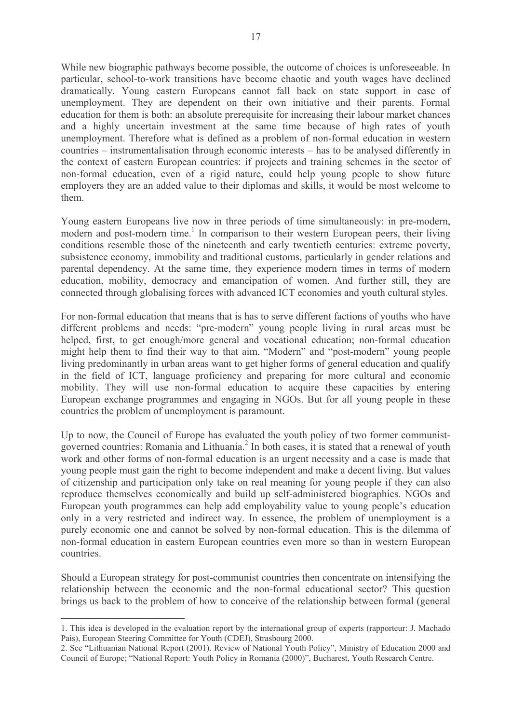While new biographic pathways become possible, the outcome of choices is unforeseeable. In particular, school-to-work transitions have become chaotic and youth wages have declined dramatically. Young eastern Europeans cannot fall back on state support in case of unemployment. They are dependent on their own initiative and their parents. Formal education for them is both: an absolute prerequisite for increasing their labour market chances and a highly uncertain investment at the same time because of high rates of youth unemployment. Therefore what is defined as a problem of non-formal education in western countries – instrumentalisation through economic interests – has to be analysed differently in the context of eastern European countries: if projects and training schemes in the sector of non-formal education, even of a rigid nature, could help young people to show future employers they are an added value to their diplomas and skills, it would be most welcome to them.

Young eastern Europeans live now in three periods of time simultaneously: in pre-modern, modern and post-modern time.<sup>1</sup> In comparison to their western European peers, their living conditions resemble those of the nineteenth and early twentieth centuries: extreme poverty, subsistence economy, immobility and traditional customs, particularly in gender relations and parental dependency. At the same time, they experience modern times in terms of modern education, mobility, democracy and emancipation of women. And further still, they are connected through globalising forces with advanced ICT economies and youth cultural styles.

For non-formal education that means that is has to serve different factions of youths who have different problems and needs: "pre-modern" young people living in rural areas must be helped, first, to get enough/more general and vocational education; non-formal education might help them to find their way to that aim. "Modern" and "post-modern" young people living predominantly in urban areas want to get higher forms of general education and qualify in the field of ICT, language proficiency and preparing for more cultural and economic mobility. They will use non-formal education to acquire these capacities by entering European exchange programmes and engaging in NGOs. But for all young people in these countries the problem of unemployment is paramount.

Up to now, the Council of Europe has evaluated the youth policy of two former communistgoverned countries: Romania and Lithuania.<sup>2</sup> In both cases, it is stated that a renewal of youth work and other forms of non-formal education is an urgent necessity and a case is made that young people must gain the right to become independent and make a decent living. But values of citizenship and participation only take on real meaning for young people if they can also reproduce themselves economically and build up self-administered biographies. NGOs and European youth programmes can help add employability value to young people's education only in a very restricted and indirect way. In essence, the problem of unemployment is a purely economic one and cannot be solved by non-formal education. This is the dilemma of non-formal education in eastern European countries even more so than in western European *countries* 

Should a European strategy for post-communist countries then concentrate on intensifying the relationship between the economic and the non-formal educational sector? This question brings us back to the problem of how to conceive of the relationship between formal (general

<sup>1.</sup> This idea is developed in the evaluation report by the international group of experts (rapporteur: J. Machado Pais), European Steering Committee for Youth (CDEJ), Strasbourg 2000.

<sup>2.</sup> See "Lithuanian National Report (2001). Review of National Youth Policy", Ministry of Education 2000 and Council of Europe; "National Report: Youth Policy in Romania (2000)", Bucharest, Youth Research Centre.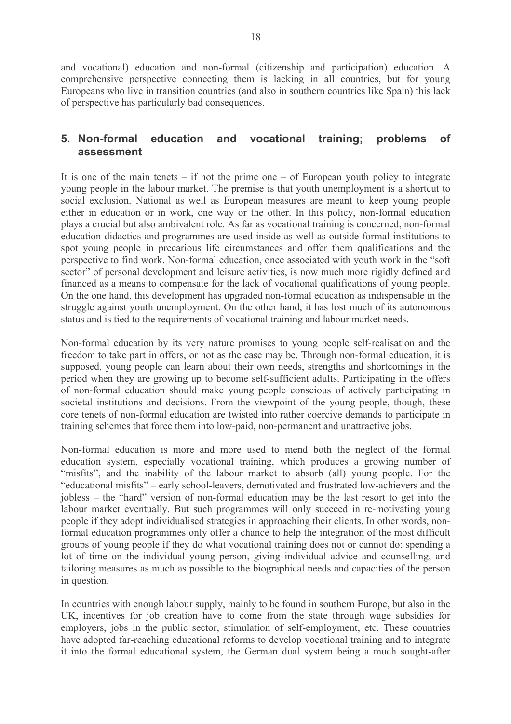and vocational) education and non-formal (citizenship and participation) education. A comprehensive perspective connecting them is lacking in all countries, but for young Europeans who live in transition countries (and also in southern countries like Spain) this lack of perspective has particularly bad consequences.

#### 5. Non-formal education and vocational training: problems  $of$ assessment

It is one of the main tenets – if not the prime one – of European youth policy to integrate young people in the labour market. The premise is that youth unemployment is a shortcut to social exclusion. National as well as European measures are meant to keep young people either in education or in work, one way or the other. In this policy, non-formal education plays a crucial but also ambivalent role. As far as vocational training is concerned, non-formal education didactics and programmes are used inside as well as outside formal institutions to spot young people in precarious life circumstances and offer them qualifications and the perspective to find work. Non-formal education, once associated with youth work in the "soft" sector" of personal development and leisure activities, is now much more rigidly defined and financed as a means to compensate for the lack of vocational qualifications of young people. On the one hand, this development has upgraded non-formal education as indispensable in the struggle against youth unemployment. On the other hand, it has lost much of its autonomous status and is tied to the requirements of vocational training and labour market needs.

Non-formal education by its very nature promises to young people self-realisation and the freedom to take part in offers, or not as the case may be. Through non-formal education, it is supposed, young people can learn about their own needs, strengths and shortcomings in the period when they are growing up to become self-sufficient adults. Participating in the offers of non-formal education should make young people conscious of actively participating in societal institutions and decisions. From the viewpoint of the young people, though, these core tenets of non-formal education are twisted into rather coercive demands to participate in training schemes that force them into low-paid, non-permanent and unattractive jobs.

Non-formal education is more and more used to mend both the neglect of the formal education system, especially vocational training, which produces a growing number of "misfits", and the inability of the labour market to absorb (all) young people. For the "educational misfits" – early school-leavers, demotivated and frustrated low-achievers and the jobless – the "hard" version of non-formal education may be the last resort to get into the labour market eventually. But such programmes will only succeed in re-motivating young people if they adopt individualised strategies in approaching their clients. In other words, nonformal education programmes only offer a chance to help the integration of the most difficult groups of young people if they do what vocational training does not or cannot do: spending a lot of time on the individual young person, giving individual advice and counselling, and tailoring measures as much as possible to the biographical needs and capacities of the person in question.

In countries with enough labour supply, mainly to be found in southern Europe, but also in the UK, incentives for job creation have to come from the state through wage subsidies for employers, jobs in the public sector, stimulation of self-employment, etc. These countries have adopted far-reaching educational reforms to develop vocational training and to integrate it into the formal educational system, the German dual system being a much sought-after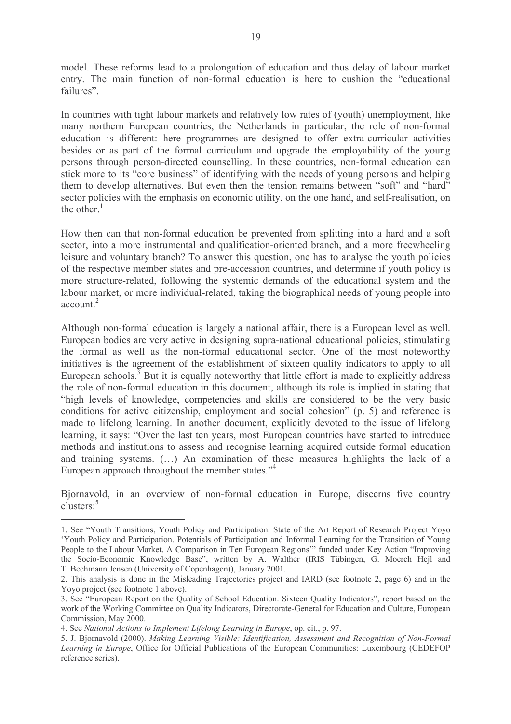model. These reforms lead to a prolongation of education and thus delay of labour market entry. The main function of non-formal education is here to cushion the "educational" failures"

In countries with tight labour markets and relatively low rates of (youth) unemployment, like many northern European countries, the Netherlands in particular, the role of non-formal education is different: here programmes are designed to offer extra-curricular activities besides or as part of the formal curriculum and upgrade the employability of the young persons through person-directed counselling. In these countries, non-formal education can stick more to its "core business" of identifying with the needs of young persons and helping them to develop alternatives. But even then the tension remains between "soft" and "hard" sector policies with the emphasis on economic utility, on the one hand, and self-realisation, on the other. $<sup>1</sup>$ </sup>

How then can that non-formal education be prevented from splitting into a hard and a soft sector, into a more instrumental and qualification-oriented branch, and a more freewheeling leisure and voluntary branch? To answer this question, one has to analyse the youth policies of the respective member states and pre-accession countries, and determine if youth policy is more structure-related, following the systemic demands of the educational system and the labour market, or more individual-related, taking the biographical needs of young people into account<sup>2</sup>

Although non-formal education is largely a national affair, there is a European level as well. European bodies are very active in designing supra-national educational policies, stimulating the formal as well as the non-formal educational sector. One of the most noteworthy initiatives is the agreement of the establishment of sixteen quality indicators to apply to all European schools.<sup>3</sup> But it is equally noteworthy that little effort is made to explicitly address the role of non-formal education in this document, although its role is implied in stating that "high levels of knowledge, competencies and skills are considered to be the very basic conditions for active citizenship, employment and social cohesion" (p. 5) and reference is made to lifelong learning. In another document, explicitly devoted to the issue of lifelong learning, it says: "Over the last ten years, most European countries have started to introduce methods and institutions to assess and recognise learning acquired outside formal education and training systems. (...) An examination of these measures highlights the lack of a European approach throughout the member states."<sup>4</sup>

Biornavold, in an overview of non-formal education in Europe, discerns five country  $\text{clusters:}^5$ 

<sup>1.</sup> See "Youth Transitions, Youth Policy and Participation. State of the Art Report of Research Project Yoyo 'Youth Policy and Participation. Potentials of Participation and Informal Learning for the Transition of Young People to the Labour Market. A Comparison in Ten European Regions" funded under Key Action "Improving the Socio-Economic Knowledge Base", written by A. Walther (IRIS Tübingen, G. Moerch Hejl and T. Bechmann Jensen (University of Copenhagen)), January 2001.

<sup>2.</sup> This analysis is done in the Misleading Trajectories project and IARD (see footnote 2, page 6) and in the Yovo project (see footnote 1 above).

<sup>3.</sup> See "European Report on the Quality of School Education. Sixteen Quality Indicators", report based on the work of the Working Committee on Quality Indicators, Directorate-General for Education and Culture, European Commission, May 2000.

<sup>4.</sup> See National Actions to Implement Lifelong Learning in Europe, op. cit., p. 97.

<sup>5.</sup> J. Bjornavold (2000). Making Learning Visible: Identification, Assessment and Recognition of Non-Formal Learning in Europe, Office for Official Publications of the European Communities: Luxembourg (CEDEFOP reference series).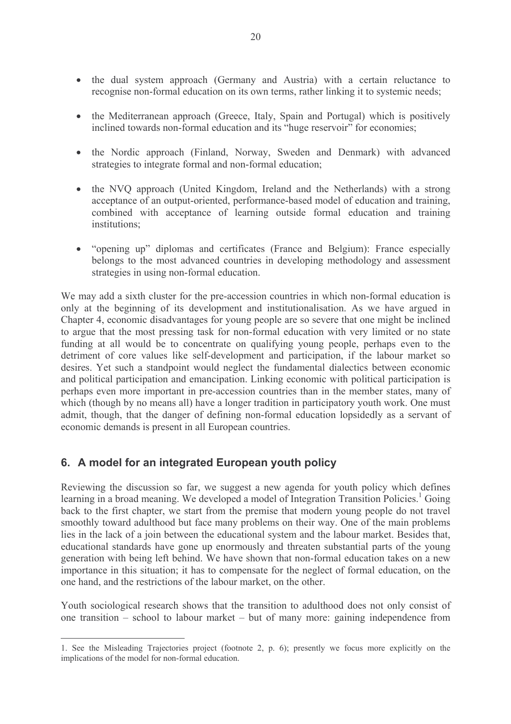- the dual system approach (Germany and Austria) with a certain reluctance to recognise non-formal education on its own terms, rather linking it to systemic needs;
- the Mediterranean approach (Greece, Italy, Spain and Portugal) which is positively inclined towards non-formal education and its "huge reservoir" for economies:
- the Nordic approach (Finland, Norway, Sweden and Denmark) with advanced strategies to integrate formal and non-formal education;
- the NVQ approach (United Kingdom, Ireland and the Netherlands) with a strong acceptance of an output-oriented, performance-based model of education and training, combined with acceptance of learning outside formal education and training institutions:
- "opening up" diplomas and certificates (France and Belgium): France especially  $\bullet$ belongs to the most advanced countries in developing methodology and assessment strategies in using non-formal education.

We may add a sixth cluster for the pre-accession countries in which non-formal education is only at the beginning of its development and institutionalisation. As we have argued in Chapter 4, economic disadvantages for young people are so severe that one might be inclined to argue that the most pressing task for non-formal education with very limited or no state funding at all would be to concentrate on qualifying young people, perhaps even to the detriment of core values like self-development and participation, if the labour market so desires. Yet such a standpoint would neglect the fundamental dialectics between economic and political participation and emancipation. Linking economic with political participation is perhaps even more important in pre-accession countries than in the member states, many of which (though by no means all) have a longer tradition in participatory youth work. One must admit, though, that the danger of defining non-formal education lopsidedly as a servant of economic demands is present in all European countries.

### 6. A model for an integrated European youth policy

Reviewing the discussion so far, we suggest a new agenda for youth policy which defines learning in a broad meaning. We developed a model of Integration Transition Policies.<sup>1</sup> Going back to the first chapter, we start from the premise that modern young people do not travel smoothly toward adulthood but face many problems on their way. One of the main problems lies in the lack of a join between the educational system and the labour market. Besides that, educational standards have gone up enormously and threaten substantial parts of the young generation with being left behind. We have shown that non-formal education takes on a new importance in this situation; it has to compensate for the neglect of formal education, on the one hand, and the restrictions of the labour market, on the other.

Youth sociological research shows that the transition to adulthood does not only consist of one transition – school to labour market – but of many more: gaining independence from

<sup>1.</sup> See the Misleading Trajectories project (footnote 2, p. 6); presently we focus more explicitly on the implications of the model for non-formal education.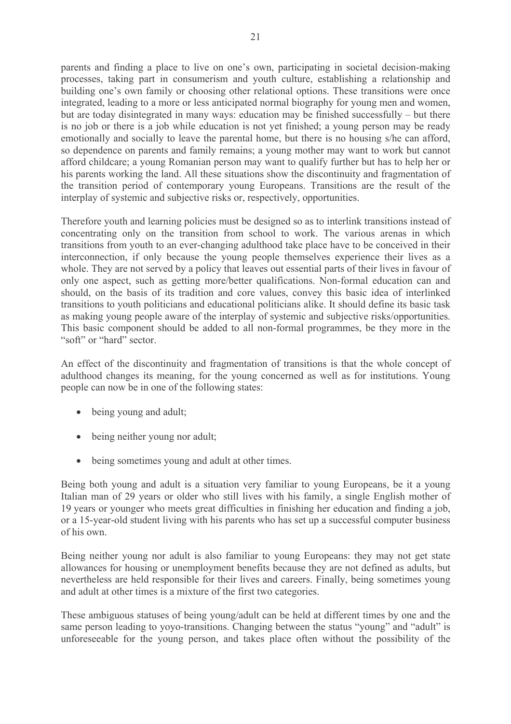parents and finding a place to live on one's own, participating in societal decision-making processes, taking part in consumerism and youth culture, establishing a relationship and building one's own family or choosing other relational options. These transitions were once integrated, leading to a more or less anticipated normal biography for young men and women, but are today disintegrated in many ways: education may be finished successfully – but there is no job or there is a job while education is not yet finished; a young person may be ready emotionally and socially to leave the parental home, but there is no housing s/he can afford, so dependence on parents and family remains; a young mother may want to work but cannot afford childcare; a young Romanian person may want to qualify further but has to help her or his parents working the land. All these situations show the discontinuity and fragmentation of the transition period of contemporary young Europeans. Transitions are the result of the interplay of systemic and subjective risks or, respectively, opportunities.

Therefore youth and learning policies must be designed so as to interlink transitions instead of concentrating only on the transition from school to work. The various arenas in which transitions from youth to an ever-changing adulthood take place have to be conceived in their interconnection, if only because the young people themselves experience their lives as a whole. They are not served by a policy that leaves out essential parts of their lives in favour of only one aspect, such as getting more/better qualifications. Non-formal education can and should, on the basis of its tradition and core values, convey this basic idea of interlinked transitions to youth politicians and educational politicians alike. It should define its basic task as making young people aware of the interplay of systemic and subjective risks/opportunities. This basic component should be added to all non-formal programmes, be they more in the "soft" or "hard" sector.

An effect of the discontinuity and fragmentation of transitions is that the whole concept of adulthood changes its meaning, for the young concerned as well as for institutions. Young people can now be in one of the following states:

- being young and adult;
- being neither young nor adult;
- being sometimes young and adult at other times.

Being both young and adult is a situation very familiar to young Europeans, be it a young Italian man of 29 years or older who still lives with his family, a single English mother of 19 years or younger who meets great difficulties in finishing her education and finding a job, or a 15-year-old student living with his parents who has set up a successful computer business of his own.

Being neither young nor adult is also familiar to young Europeans: they may not get state allowances for housing or unemployment benefits because they are not defined as adults, but nevertheless are held responsible for their lives and careers. Finally, being sometimes young and adult at other times is a mixture of the first two categories.

These ambiguous statuses of being young/adult can be held at different times by one and the same person leading to yoyo-transitions. Changing between the status "young" and "adult" is unforeseeable for the young person, and takes place often without the possibility of the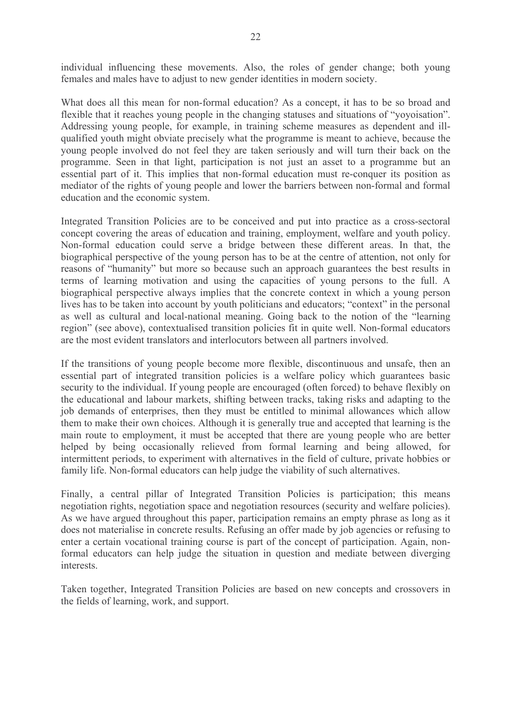individual influencing these movements. Also, the roles of gender change; both young females and males have to adjust to new gender identities in modern society.

What does all this mean for non-formal education? As a concept, it has to be so broad and flexible that it reaches young people in the changing statuses and situations of "yoyoisation". Addressing young people, for example, in training scheme measures as dependent and illqualified youth might obviate precisely what the programme is meant to achieve, because the young people involved do not feel they are taken seriously and will turn their back on the programme. Seen in that light, participation is not just an asset to a programme but an essential part of it. This implies that non-formal education must re-conquer its position as mediator of the rights of young people and lower the barriers between non-formal and formal education and the economic system.

Integrated Transition Policies are to be conceived and put into practice as a cross-sectoral concept covering the areas of education and training, employment, welfare and youth policy. Non-formal education could serve a bridge between these different areas. In that, the biographical perspective of the young person has to be at the centre of attention, not only for reasons of "humanity" but more so because such an approach guarantees the best results in terms of learning motivation and using the capacities of young persons to the full. A biographical perspective always implies that the concrete context in which a young person lives has to be taken into account by youth politicians and educators; "context" in the personal as well as cultural and local-national meaning. Going back to the notion of the "learning" region" (see above), contextualised transition policies fit in quite well. Non-formal educators are the most evident translators and interlocutors between all partners involved.

If the transitions of young people become more flexible, discontinuous and unsafe, then an essential part of integrated transition policies is a welfare policy which guarantees basic security to the individual. If young people are encouraged (often forced) to behave flexibly on the educational and labour markets, shifting between tracks, taking risks and adapting to the job demands of enterprises, then they must be entitled to minimal allowances which allow them to make their own choices. Although it is generally true and accepted that learning is the main route to employment, it must be accepted that there are young people who are better helped by being occasionally relieved from formal learning and being allowed, for intermittent periods, to experiment with alternatives in the field of culture, private hobbies or family life. Non-formal educators can help judge the viability of such alternatives.

Finally, a central pillar of Integrated Transition Policies is participation; this means negotiation rights, negotiation space and negotiation resources (security and welfare policies). As we have argued throughout this paper, participation remains an empty phrase as long as it does not materialise in concrete results. Refusing an offer made by job agencies or refusing to enter a certain vocational training course is part of the concept of participation. Again, nonformal educators can help judge the situation in question and mediate between diverging interests

Taken together, Integrated Transition Policies are based on new concepts and crossovers in the fields of learning, work, and support.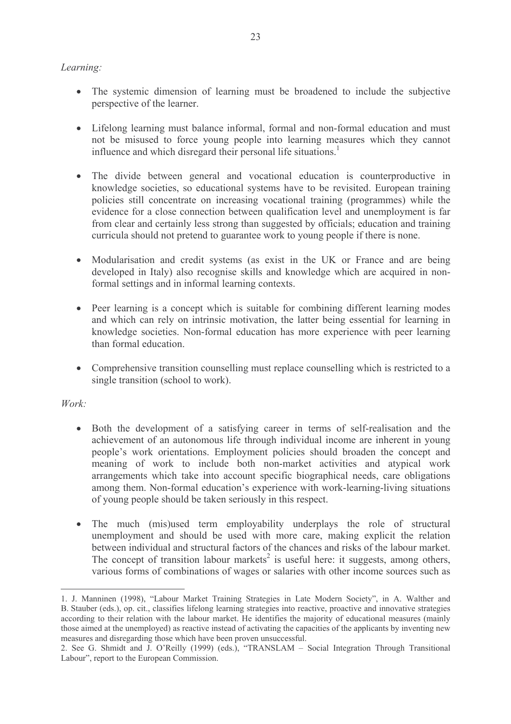### Learning:

- The systemic dimension of learning must be broadened to include the subjective perspective of the learner.
- Lifelong learning must balance informal, formal and non-formal education and must not be misused to force young people into learning measures which they cannot influence and which disregard their personal life situations.<sup>1</sup>
- The divide between general and vocational education is counterproductive in knowledge societies, so educational systems have to be revisited. European training policies still concentrate on increasing vocational training (programmes) while the evidence for a close connection between qualification level and unemployment is far from clear and certainly less strong than suggested by officials; education and training curricula should not pretend to guarantee work to young people if there is none.
- Modularisation and credit systems (as exist in the UK or France and are being developed in Italy) also recognise skills and knowledge which are acquired in nonformal settings and in informal learning contexts.
- Peer learning is a concept which is suitable for combining different learning modes and which can rely on intrinsic motivation, the latter being essential for learning in knowledge societies. Non-formal education has more experience with peer learning than formal education
- Comprehensive transition counselling must replace counselling which is restricted to a single transition (school to work).

### $Work:$

- Both the development of a satisfying career in terms of self-realisation and the achievement of an autonomous life through individual income are inherent in young people's work orientations. Employment policies should broaden the concept and meaning of work to include both non-market activities and atypical work arrangements which take into account specific biographical needs, care obligations among them. Non-formal education's experience with work-learning-living situations of young people should be taken seriously in this respect.
- The much (mis)used term employability underplays the role of structural  $\bullet$ unemployment and should be used with more care, making explicit the relation between individual and structural factors of the chances and risks of the labour market. The concept of transition labour markets<sup>2</sup> is useful here: it suggests, among others, various forms of combinations of wages or salaries with other income sources such as

<sup>1.</sup> J. Manninen (1998), "Labour Market Training Strategies in Late Modern Society", in A. Walther and B. Stauber (eds.), op. cit., classifies lifelong learning strategies into reactive, proactive and innovative strategies according to their relation with the labour market. He identifies the majority of educational measures (mainly those aimed at the unemployed) as reactive instead of activating the capacities of the applicants by inventing new measures and disregarding those which have been proven unsuccessful.

<sup>2.</sup> See G. Shmidt and J. O'Reilly (1999) (eds.), "TRANSLAM - Social Integration Through Transitional Labour", report to the European Commission.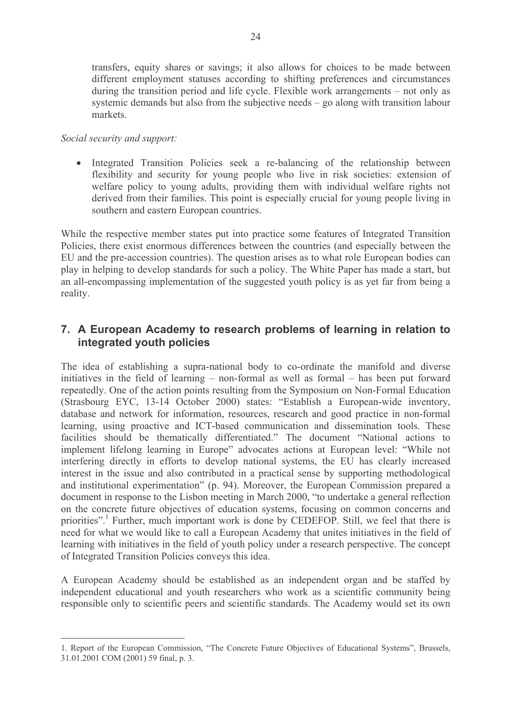transfers, equity shares or savings; it also allows for choices to be made between different employment statuses according to shifting preferences and circumstances during the transition period and life cycle. Flexible work arrangements – not only as systemic demands but also from the subjective needs  $-$  go along with transition labour markets.

### Social security and support:

• Integrated Transition Policies seek a re-balancing of the relationship between flexibility and security for young people who live in risk societies: extension of welfare policy to young adults, providing them with individual welfare rights not derived from their families. This point is especially crucial for young people living in southern and eastern European countries.

While the respective member states put into practice some features of Integrated Transition Policies, there exist enormous differences between the countries (and especially between the EU and the pre-accession countries). The question arises as to what role European bodies can play in helping to develop standards for such a policy. The White Paper has made a start, but an all-encompassing implementation of the suggested youth policy is as yet far from being a reality.

### 7. A European Academy to research problems of learning in relation to integrated youth policies

The idea of establishing a supra-national body to co-ordinate the manifold and diverse initiatives in the field of learning – non-formal as well as formal – has been put forward repeatedly. One of the action points resulting from the Symposium on Non-Formal Education (Strasbourg EYC, 13-14 October 2000) states: "Establish a European-wide inventory, database and network for information, resources, research and good practice in non-formal learning, using proactive and ICT-based communication and dissemination tools. These facilities should be thematically differentiated." The document "National actions to implement lifelong learning in Europe" advocates actions at European level: "While not interfering directly in efforts to develop national systems, the EU has clearly increased interest in the issue and also contributed in a practical sense by supporting methodological and institutional experimentation" (p. 94). Moreover, the European Commission prepared a document in response to the Lisbon meeting in March 2000, "to undertake a general reflection on the concrete future objectives of education systems, focusing on common concerns and priorities". Further, much important work is done by CEDEFOP. Still, we feel that there is need for what we would like to call a European Academy that unites initiatives in the field of learning with initiatives in the field of youth policy under a research perspective. The concept of Integrated Transition Policies conveys this idea.

A European Academy should be established as an independent organ and be staffed by independent educational and youth researchers who work as a scientific community being responsible only to scientific peers and scientific standards. The Academy would set its own

<sup>1.</sup> Report of the European Commission, "The Concrete Future Objectives of Educational Systems", Brussels, 31.01.2001 COM (2001) 59 final, p. 3.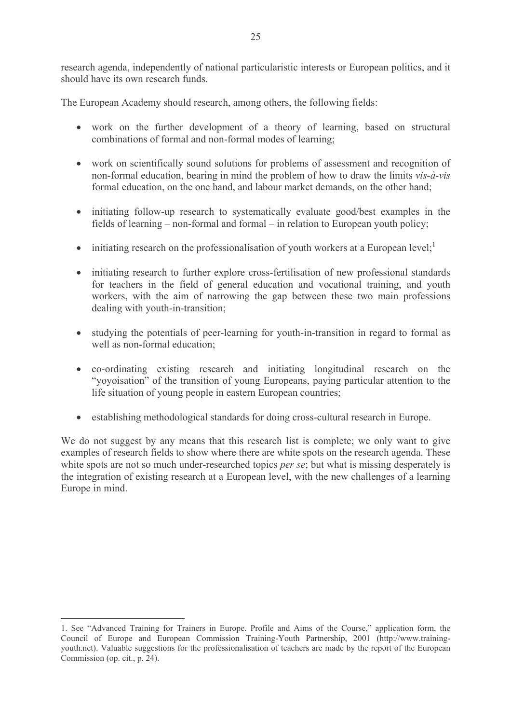research agenda, independently of national particularistic interests or European politics, and it should have its own research funds.

The European Academy should research, among others, the following fields:

- work on the further development of a theory of learning, based on structural combinations of formal and non-formal modes of learning;
- work on scientifically sound solutions for problems of assessment and recognition of non-formal education, bearing in mind the problem of how to draw the limits vis-à-vis formal education, on the one hand, and labour market demands, on the other hand;
- initiating follow-up research to systematically evaluate good/best examples in the fields of learning – non-formal and formal – in relation to European youth policy;
- $\bullet$  initiating research on the professionalisation of youth workers at a European level;
- initiating research to further explore cross-fertilisation of new professional standards for teachers in the field of general education and vocational training, and youth workers, with the aim of narrowing the gap between these two main professions dealing with youth-in-transition;
- studying the potentials of peer-learning for youth-in-transition in regard to formal as well as non-formal education.
- co-ordinating existing research and initiating longitudinal research on the "voyoisation" of the transition of young Europeans, paying particular attention to the life situation of young people in eastern European countries:
- establishing methodological standards for doing cross-cultural research in Europe.

We do not suggest by any means that this research list is complete; we only want to give examples of research fields to show where there are white spots on the research agenda. These white spots are not so much under-researched topics *per se*; but what is missing desperately is the integration of existing research at a European level, with the new challenges of a learning Europe in mind.

<sup>1.</sup> See "Advanced Training for Trainers in Europe. Profile and Aims of the Course," application form, the Council of Europe and European Commission Training-Youth Partnership, 2001 (http://www.trainingyouth.net). Valuable suggestions for the professionalisation of teachers are made by the report of the European Commission (op. cit., p. 24).